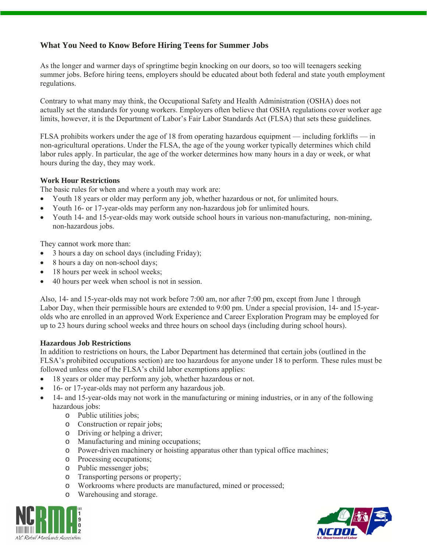## **What You Need to Know Before Hiring Teens for Summer Jobs**

As the longer and warmer days of springtime begin knocking on our doors, so too will teenagers seeking summer jobs. Before hiring teens, employers should be educated about both federal and state youth employment regulations.

Contrary to what many may think, the Occupational Safety and Health Administration (OSHA) does not actually set the standards for young workers. Employers often believe that OSHA regulations cover worker age limits, however, it is the Department of Labor's Fair Labor Standards Act (FLSA) that sets these guidelines.

FLSA prohibits workers under the age of 18 from operating hazardous equipment — including forklifts — in non-agricultural operations. Under the FLSA, the age of the young worker typically determines which child labor rules apply. In particular, the age of the worker determines how many hours in a day or week, or what hours during the day, they may work.

## **Work Hour Restrictions**

The basic rules for when and where a youth may work are:

- Youth 18 years or older may perform any job, whether hazardous or not, for unlimited hours.
- Youth 16- or 17-year-olds may perform any non-hazardous job for unlimited hours.
- Youth 14- and 15-year-olds may work outside school hours in various non-manufacturing, non-mining, non-hazardous jobs.

They cannot work more than:

- 3 hours a day on school days (including Friday);
- 8 hours a day on non-school days;
- 18 hours per week in school weeks;
- 40 hours per week when school is not in session.

Also, 14- and 15-year-olds may not work before 7:00 am, nor after 7:00 pm, except from June 1 through Labor Day, when their permissible hours are extended to 9:00 pm. Under a special provision, 14- and 15-yearolds who are enrolled in an approved Work Experience and Career Exploration Program may be employed for up to 23 hours during school weeks and three hours on school days (including during school hours).

## **Hazardous Job Restrictions**

In addition to restrictions on hours, the Labor Department has determined that certain jobs (outlined in the FLSA's prohibited occupations section) are too hazardous for anyone under 18 to perform. These rules must be followed unless one of the FLSA's child labor exemptions applies:

- 18 years or older may perform any job, whether hazardous or not.
- 16- or 17-year-olds may not perform any hazardous job.
- 14- and 15-year-olds may not work in the manufacturing or mining industries, or in any of the following hazardous jobs:
	- o Public utilities jobs;
	- o Construction or repair jobs;
	- o Driving or helping a driver;
	- o Manufacturing and mining occupations;
	- o Power-driven machinery or hoisting apparatus other than typical office machines;
	- o Processing occupations;
	- o Public messenger jobs;
	- o Transporting persons or property;
	- o Workrooms where products are manufactured, mined or processed;
	- o Warehousing and storage.